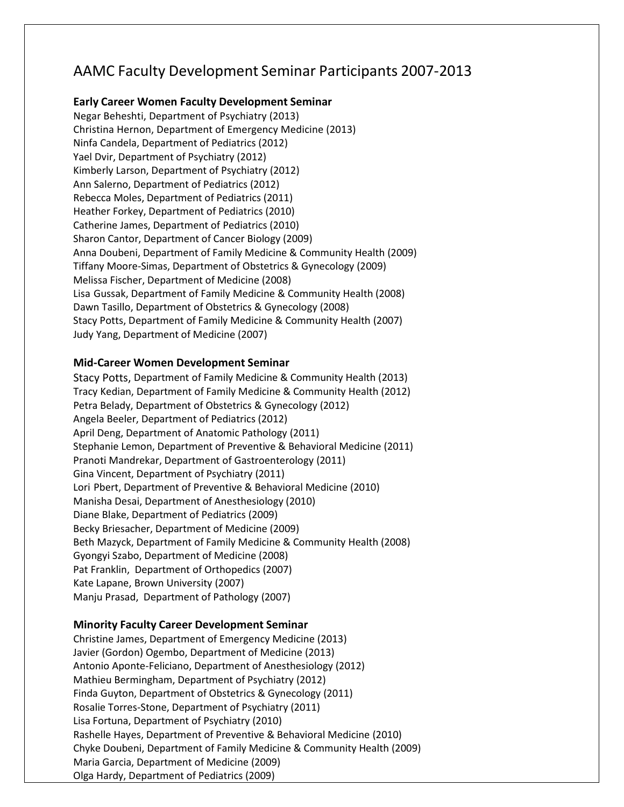## AAMC Faculty Development Seminar Participants 2007‐2013

## **Early Career Women Faculty Development Seminar**

Negar Beheshti, Department of Psychiatry (2013) Christina Hernon, Department of Emergency Medicine (2013) Ninfa Candela, Department of Pediatrics (2012) Yael Dvir, Department of Psychiatry (2012) Kimberly Larson, Department of Psychiatry (2012) Ann Salerno, Department of Pediatrics (2012) Rebecca Moles, Department of Pediatrics (2011) Heather Forkey, Department of Pediatrics (2010) Catherine James, Department of Pediatrics (2010) Sharon Cantor, Department of Cancer Biology (2009) Anna Doubeni, Department of Family Medicine & Community Health (2009) Tiffany Moore‐Simas, Department of Obstetrics & Gynecology (2009) Melissa Fischer, Department of Medicine (2008) Lisa Gussak, Department of Family Medicine & Community Health (2008) Dawn Tasillo, Department of Obstetrics & Gynecology (2008) Stacy Potts, Department of Family Medicine & Community Health (2007) Judy Yang, Department of Medicine (2007)

## **Mid‐Career Women Development Seminar**

Stacy Potts, Department of Family Medicine & Community Health (2013) Tracy Kedian, Department of Family Medicine & Community Health (2012) Petra Belady, Department of Obstetrics & Gynecology (2012) Angela Beeler, Department of Pediatrics (2012) April Deng, Department of Anatomic Pathology (2011) Stephanie Lemon, Department of Preventive & Behavioral Medicine (2011) Pranoti Mandrekar, Department of Gastroenterology (2011) Gina Vincent, Department of Psychiatry (2011) Lori Pbert, Department of Preventive & Behavioral Medicine (2010) Manisha Desai, Department of Anesthesiology (2010) Diane Blake, Department of Pediatrics (2009) Becky Briesacher, Department of Medicine (2009) Beth Mazyck, Department of Family Medicine & Community Health (2008) Gyongyi Szabo, Department of Medicine (2008) Pat Franklin, Department of Orthopedics (2007) Kate Lapane, Brown University (2007) Manju Prasad, Department of Pathology (2007)

## **Minority Faculty Career Development Seminar**

Christine James, Department of Emergency Medicine (2013) Javier (Gordon) Ogembo, Department of Medicine (2013) Antonio Aponte‐Feliciano, Department of Anesthesiology (2012) Mathieu Bermingham, Department of Psychiatry (2012) Finda Guyton, Department of Obstetrics & Gynecology (2011) Rosalie Torres‐Stone, Department of Psychiatry (2011) Lisa Fortuna, Department of Psychiatry (2010) Rashelle Hayes, Department of Preventive & Behavioral Medicine (2010) Chyke Doubeni, Department of Family Medicine & Community Health (2009) Maria Garcia, Department of Medicine (2009) Olga Hardy, Department of Pediatrics (2009)